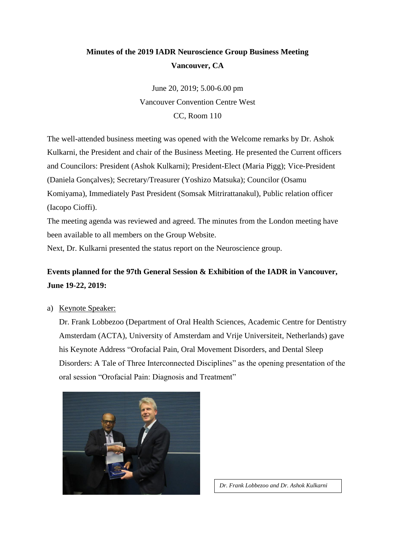# **Minutes of the 2019 IADR Neuroscience Group Business Meeting Vancouver, CA**

June 20, 2019; 5.00-6.00 pm Vancouver Convention Centre West CC, Room 110

The well-attended business meeting was opened with the Welcome remarks by Dr. Ashok Kulkarni, the President and chair of the Business Meeting. He presented the Current officers and Councilors: President (Ashok Kulkarni); President-Elect (Maria Pigg); Vice-President (Daniela Gonçalves); Secretary/Treasurer (Yoshizo Matsuka); Councilor (Osamu Komiyama), Immediately Past President (Somsak Mitrirattanakul), Public relation officer (Iacopo Cioffi).

The meeting agenda was reviewed and agreed. The minutes from the London meeting have been available to all members on the Group Website.

Next, Dr. Kulkarni presented the status report on the Neuroscience group.

## **Events planned for the 97th General Session & Exhibition of the IADR in Vancouver, June 19-22, 2019:**

a) Keynote Speaker:

Dr. Frank Lobbezoo (Department of Oral Health Sciences, Academic Centre for Dentistry Amsterdam (ACTA), University of Amsterdam and Vrije Universiteit, Netherlands) gave his Keynote Address "Orofacial Pain, Oral Movement Disorders, and Dental Sleep Disorders: A Tale of Three Interconnected Disciplines" as the opening presentation of the oral session "Orofacial Pain: Diagnosis and Treatment"



*Dr. Frank Lobbezoo and Dr. Ashok Kulkarni*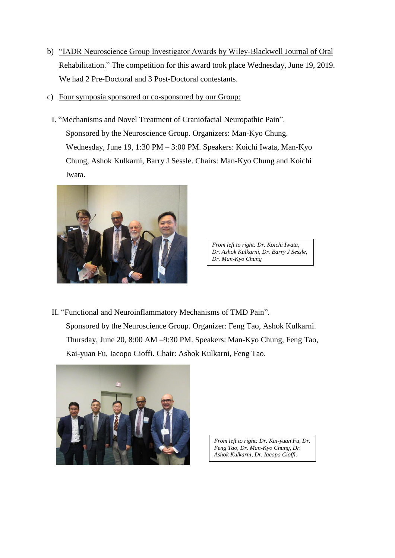- b) "IADR Neuroscience Group Investigator Awards by Wiley-Blackwell Journal of Oral Rehabilitation." The competition for this award took place Wednesday, June 19, 2019. We had 2 Pre-Doctoral and 3 Post-Doctoral contestants.
- c) Four symposia sponsored or co-sponsored by our Group:
	- I. "Mechanisms and Novel Treatment of Craniofacial Neuropathic Pain". Sponsored by the Neuroscience Group. Organizers: Man-Kyo Chung. Wednesday, June 19, 1:30 PM – 3:00 PM. Speakers: Koichi Iwata, Man-Kyo Chung, Ashok Kulkarni, Barry J Sessle. Chairs: Man-Kyo Chung and Koichi Iwata.



*From left to right: Dr. Koichi Iwata, Dr. Ashok Kulkarni, Dr. Barry J Sessle, Dr. Man-Kyo Chung*

II. "Functional and Neuroinflammatory Mechanisms of TMD Pain". Sponsored by the Neuroscience Group. Organizer: Feng Tao, Ashok Kulkarni. Thursday, June 20, 8:00 AM –9:30 PM. Speakers: Man-Kyo Chung, Feng Tao, Kai-yuan Fu, Iacopo Cioffi. Chair: Ashok Kulkarni, Feng Tao.



*From left to right: Dr. Kai-yuan Fu, Dr. Feng Tao, Dr. Man-Kyo Chung, Dr. Ashok Kulkarni, Dr. Iacopo Cioffi.*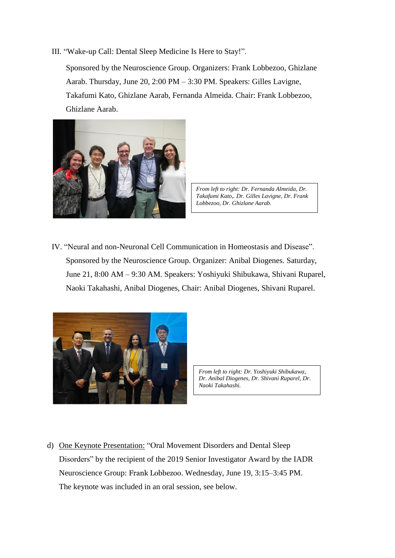III. "Wake-up Call: Dental Sleep Medicine Is Here to Stay!".

Sponsored by the Neuroscience Group. Organizers: Frank Lobbezoo, Ghizlane Aarab. Thursday, June 20, 2:00 PM – 3:30 PM. Speakers: Gilles Lavigne, Takafumi Kato, Ghizlane Aarab, Fernanda Almeida. Chair: Frank Lobbezoo, Ghizlane Aarab.



*From left to right: Dr. Fernanda Almeida, Dr. Takafumi Kato,. Dr. Gilles Lavigne, Dr. Frank Lobbezoo, Dr. Ghizlane Aarab.*

IV. "Neural and non-Neuronal Cell Communication in Homeostasis and Disease". Sponsored by the Neuroscience Group. Organizer: Anibal Diogenes. Saturday, June 21, 8:00 AM – 9:30 AM. Speakers: Yoshiyuki Shibukawa, Shivani Ruparel, Naoki Takahashi, Anibal Diogenes, Chair: Anibal Diogenes, Shivani Ruparel.



*From left to right: Dr. Yoshiyuki Shibukawa, Dr. Anibal Diogenes, Dr. Shivani Ruparel, Dr. Naoki Takahashi.*

d) One Keynote Presentation: "Oral Movement Disorders and Dental Sleep Disorders" by the recipient of the 2019 Senior Investigator Award by the IADR Neuroscience Group: Frank Lobbezoo. Wednesday, June 19, 3:15–3:45 PM. The keynote was included in an oral session, see below.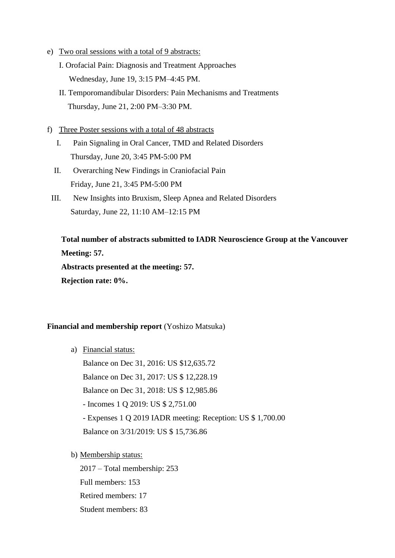- e) Two oral sessions with a total of 9 abstracts:
	- I. Orofacial Pain: Diagnosis and Treatment Approaches Wednesday, June 19, 3:15 PM–4:45 PM.
	- II. Temporomandibular Disorders: Pain Mechanisms and Treatments Thursday, June 21, 2:00 PM–3:30 PM.
- f) Three Poster sessions with a total of 48 abstracts
	- I. Pain Signaling in Oral Cancer, TMD and Related Disorders Thursday, June 20, 3:45 PM-5:00 PM
	- II. Overarching New Findings in Craniofacial Pain Friday, June 21, 3:45 PM-5:00 PM
	- III. New Insights into Bruxism, Sleep Apnea and Related Disorders Saturday, June 22, 11:10 AM–12:15 PM

**Total number of abstracts submitted to IADR Neuroscience Group at the Vancouver Meeting: 57. Abstracts presented at the meeting: 57.** 

**Rejection rate: 0%.**

#### **Financial and membership report** (Yoshizo Matsuka)

a) Financial status:

Balance on Dec 31, 2016: US \$12,635.72

Balance on Dec 31, 2017: US \$ 12,228.19

Balance on Dec 31, 2018: US \$ 12,985.86

- Incomes 1 Q 2019: US \$ 2,751.00

- Expenses 1 Q 2019 IADR meeting: Reception: US \$ 1,700.00

Balance on 3/31/2019: US \$ 15,736.86

b) Membership status:

2017 – Total membership: 253 Full members: 153 Retired members: 17 Student members: 83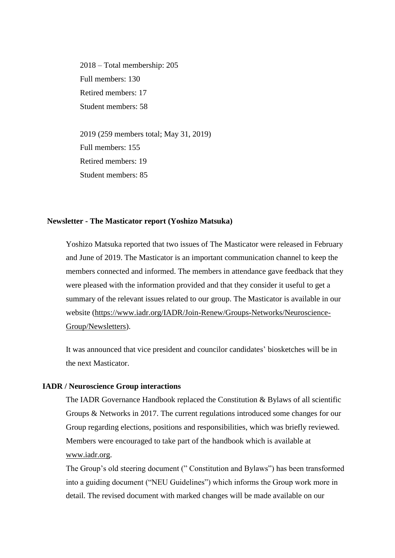2018 – Total membership: 205 Full members: 130 Retired members: 17 Student members: 58

2019 (259 members total; May 31, 2019) Full members: 155 Retired members: 19 Student members: 85

#### **Newsletter - The Masticator report (Yoshizo Matsuka)**

Yoshizo Matsuka reported that two issues of The Masticator were released in February and June of 2019. The Masticator is an important communication channel to keep the members connected and informed. The members in attendance gave feedback that they were pleased with the information provided and that they consider it useful to get a summary of the relevant issues related to our group. The Masticator is available in our website [\(https://www.iadr.org/IADR/Join-Renew/Groups-Networks/Neuroscience-](https://www.iadr.org/IADR/Join-Renew/Groups-Networks/Neuroscience-Group/Newsletters)[Group/Newsletters\)](https://www.iadr.org/IADR/Join-Renew/Groups-Networks/Neuroscience-Group/Newsletters).

It was announced that vice president and councilor candidates' biosketches will be in the next Masticator.

#### **IADR / Neuroscience Group interactions**

The IADR Governance Handbook replaced the Constitution & Bylaws of all scientific Groups & Networks in 2017. The current regulations introduced some changes for our Group regarding elections, positions and responsibilities, which was briefly reviewed. Members were encouraged to take part of the handbook which is available at [www.iadr.org.](http://www.iadr.org/)

The Group's old steering document ("Constitution and Bylaws") has been transformed into a guiding document ("NEU Guidelines") which informs the Group work more in detail. The revised document with marked changes will be made available on our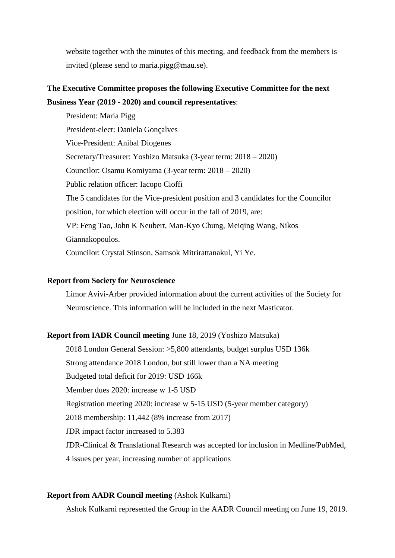website together with the minutes of this meeting, and feedback from the members is invited (please send to maria.pigg@mau.se).

## **The Executive Committee proposes the following Executive Committee for the next Business Year (2019 - 2020) and council representatives**:

President: Maria Pigg President-elect: Daniela Gonçalves Vice-President: Anibal Diogenes Secretary/Treasurer: Yoshizo Matsuka (3-year term: 2018 – 2020) Councilor: Osamu Komiyama (3-year term: 2018 – 2020) Public relation officer: Iacopo Cioffi The 5 candidates for the Vice-president position and 3 candidates for the Councilor position, for which election will occur in the fall of 2019, are: VP: Feng Tao, John K Neubert, Man-Kyo Chung, Meiqing Wang, Nikos Giannakopoulos. Councilor: Crystal Stinson, Samsok Mitrirattanakul, Yi Ye.

#### **Report from Society for Neuroscience**

Limor Avivi-Arber provided information about the current activities of the Society for Neuroscience. This information will be included in the next Masticator.

#### **Report from IADR Council meeting** June 18, 2019 (Yoshizo Matsuka)

2018 London General Session: >5,800 attendants, budget surplus USD 136k Strong attendance 2018 London, but still lower than a NA meeting Budgeted total deficit for 2019: USD 166k Member dues 2020: increase w 1-5 USD Registration meeting 2020: increase w 5-15 USD (5-year member category) 2018 membership: 11,442 (8% increase from 2017) JDR impact factor increased to 5.383 JDR-Clinical & Translational Research was accepted for inclusion in Medline/PubMed, 4 issues per year, increasing number of applications

#### **Report from AADR Council meeting** (Ashok Kulkarni)

Ashok Kulkarni represented the Group in the AADR Council meeting on June 19, 2019.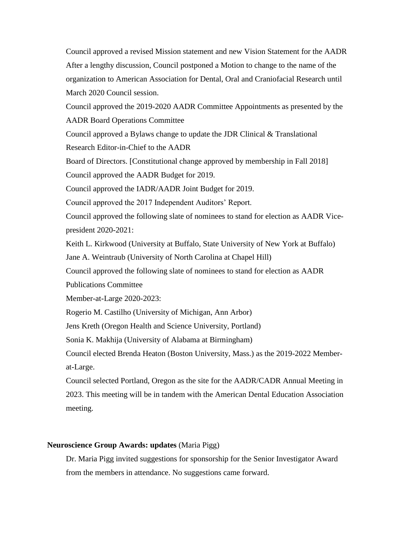Council approved a revised Mission statement and new Vision Statement for the AADR After a lengthy discussion, Council postponed a Motion to change to the name of the organization to American Association for Dental, Oral and Craniofacial Research until March 2020 Council session.

Council approved the 2019-2020 AADR Committee Appointments as presented by the AADR Board Operations Committee

Council approved a Bylaws change to update the JDR Clinical & Translational Research Editor-in-Chief to the AADR

Board of Directors. [Constitutional change approved by membership in Fall 2018]

Council approved the AADR Budget for 2019.

Council approved the IADR/AADR Joint Budget for 2019.

Council approved the 2017 Independent Auditors' Report.

Council approved the following slate of nominees to stand for election as AADR Vicepresident 2020-2021:

Keith L. Kirkwood (University at Buffalo, State University of New York at Buffalo)

Jane A. Weintraub (University of North Carolina at Chapel Hill)

Council approved the following slate of nominees to stand for election as AADR Publications Committee

Member-at-Large 2020-2023:

Rogerio M. Castilho (University of Michigan, Ann Arbor)

Jens Kreth (Oregon Health and Science University, Portland)

Sonia K. Makhija (University of Alabama at Birmingham)

Council elected Brenda Heaton (Boston University, Mass.) as the 2019-2022 Memberat-Large.

Council selected Portland, Oregon as the site for the AADR/CADR Annual Meeting in 2023. This meeting will be in tandem with the American Dental Education Association meeting.

## **Neuroscience Group Awards: updates** (Maria Pigg)

Dr. Maria Pigg invited suggestions for sponsorship for the Senior Investigator Award from the members in attendance. No suggestions came forward.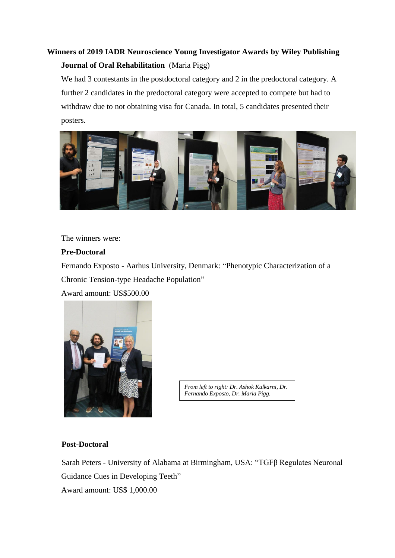# **Winners of 2019 IADR Neuroscience Young Investigator Awards by Wiley Publishing Journal of Oral Rehabilitation** (Maria Pigg)

We had 3 contestants in the postdoctoral category and 2 in the predoctoral category. A further 2 candidates in the predoctoral category were accepted to compete but had to withdraw due to not obtaining visa for Canada. In total, 5 candidates presented their posters.



The winners were:

## **Pre-Doctoral**

Fernando Exposto - Aarhus University, Denmark: "Phenotypic Characterization of a Chronic Tension-type Headache Population"

Award amount: US\$500.00



*From left to right: Dr. Ashok Kulkarni, Dr. Fernando Exposto, Dr. Maria Pigg.*

## **Post-Doctoral**

Sarah Peters - University of Alabama at Birmingham, USA: "TGFβ Regulates Neuronal Guidance Cues in Developing Teeth" Award amount: US\$ 1,000.00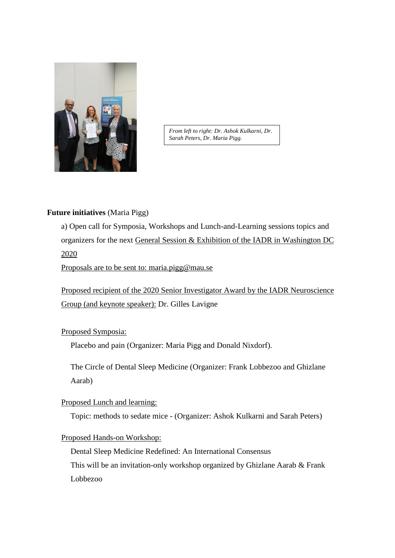

*From left to right: Dr. Ashok Kulkarni, Dr. Sarah Peters, Dr. Maria Pigg.*

#### **Future initiatives** (Maria Pigg)

a) Open call for Symposia, Workshops and Lunch-and-Learning sessions topics and organizers for the next General Session & Exhibition of the IADR in Washington DC 2020

Proposals are to be sent to: maria.pigg@mau.se

Proposed recipient of the 2020 Senior Investigator Award by the IADR Neuroscience Group (and keynote speaker): Dr. Gilles Lavigne

## Proposed Symposia:

Placebo and pain (Organizer: Maria Pigg and Donald Nixdorf).

The Circle of Dental Sleep Medicine (Organizer: Frank Lobbezoo and Ghizlane Aarab)

#### Proposed Lunch and learning:

Topic: methods to sedate mice - (Organizer: Ashok Kulkarni and Sarah Peters)

#### Proposed Hands-on Workshop:

Dental Sleep Medicine Redefined: An International Consensus This will be an invitation-only workshop organized by Ghizlane Aarab & Frank Lobbezoo